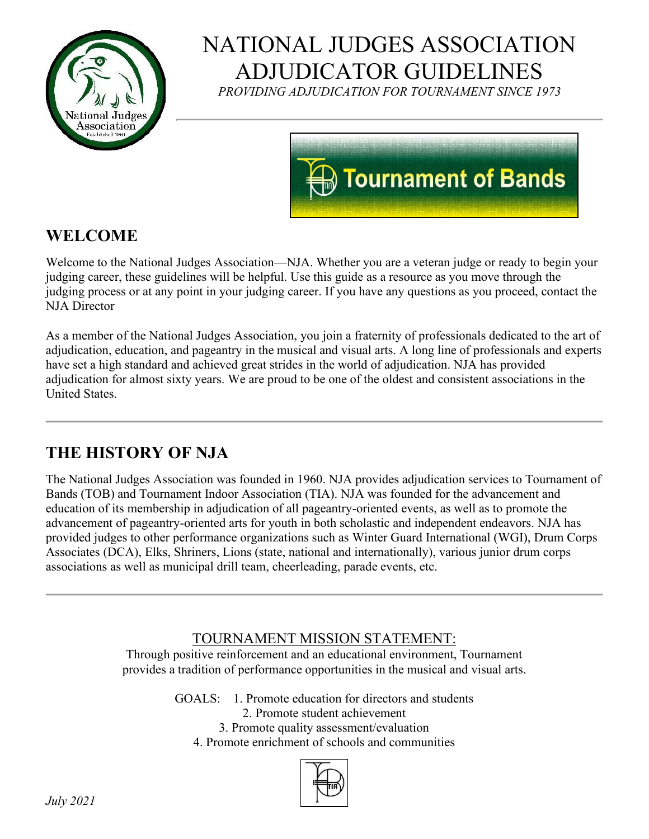

# NATIONAL JUDGES ASSOCIATION ADJUDICATOR GUIDELINES

*PROVIDING ADJUDICATION FOR TOURNAMENT SINCE 1973*



# **WELCOME**

Welcome to the National Judges Association—NJA. Whether you are a veteran judge or ready to begin your judging career, these guidelines will be helpful. Use this guide as a resource as you move through the judging process or at any point in your judging career. If you have any questions as you proceed, contact the NJA Director

As a member of the National Judges Association, you join a fraternity of professionals dedicated to the art of adjudication, education, and pageantry in the musical and visual arts. A long line of professionals and experts have set a high standard and achieved great strides in the world of adjudication. NJA has provided adjudication for almost sixty years. We are proud to be one of the oldest and consistent associations in the United States.

# **THE HISTORY OF NJA**

The National Judges Association was founded in 1960. NJA provides adjudication services to Tournament of Bands (TOB) and Tournament Indoor Association (TIA). NJA was founded for the advancement and education of its membership in adjudication of all pageantry-oriented events, as well as to promote the advancement of pageantry-oriented arts for youth in both scholastic and independent endeavors. NJA has provided judges to other performance organizations such as Winter Guard International (WGI), Drum Corps Associates (DCA), Elks, Shriners, Lions (state, national and internationally), various junior drum corps associations as well as municipal drill team, cheerleading, parade events, etc.

### TOURNAMENT MISSION STATEMENT:

Through positive reinforcement and an educational environment, Tournament provides a tradition of performance opportunities in the musical and visual arts.

GOALS: 1. Promote education for directors and students

2. Promote student achievement

3. Promote quality assessment/evaluation

4. Promote enrichment of schools and communities

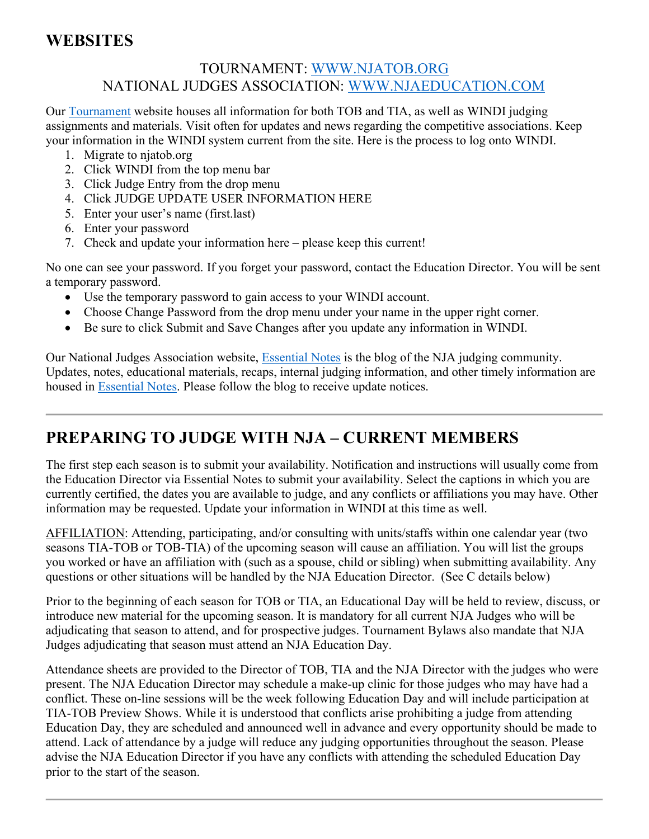### **WEBSITES**

### TOURNAMENT: [WWW.NJATOB.ORG](http://www.njatob.org/) NATIONAL JUDGES ASSOCIATION: [WWW.NJAEDUCATION.COM](http://www.njaeducation.com/)

Our [Tournament](http://www.njatob.org/) website houses all information for both TOB and TIA, as well as WINDI judging assignments and materials. Visit often for updates and news regarding the competitive associations. Keep your information in the WINDI system current from the site. Here is the process to log onto WINDI.

- 1. Migrate to njatob.org
- 2. Click WINDI from the top menu bar
- 3. Click Judge Entry from the drop menu
- 4. Click JUDGE UPDATE USER INFORMATION HERE
- 5. Enter your user's name (first.last)
- 6. Enter your password
- 7. Check and update your information here please keep this current!

No one can see your password. If you forget your password, contact the Education Director. You will be sent a temporary password.

- Use the temporary password to gain access to your WINDI account.
- Choose Change Password from the drop menu under your name in the upper right corner.
- Be sure to click Submit and Save Changes after you update any information in WINDI.

Our National Judges Association website, [Essential Notes](http://www.njaeducation.com/) is the blog of the NJA judging community. Updates, notes, educational materials, recaps, internal judging information, and other timely information are housed in [Essential Notes.](http://www.njaeducation.com/) Please follow the blog to receive update notices.

# **PREPARING TO JUDGE WITH NJA – CURRENT MEMBERS**

The first step each season is to submit your availability. Notification and instructions will usually come from the Education Director via Essential Notes to submit your availability. Select the captions in which you are currently certified, the dates you are available to judge, and any conflicts or affiliations you may have. Other information may be requested. Update your information in WINDI at this time as well.

AFFILIATION: Attending, participating, and/or consulting with units/staffs within one calendar year (two seasons TIA-TOB or TOB-TIA) of the upcoming season will cause an affiliation. You will list the groups you worked or have an affiliation with (such as a spouse, child or sibling) when submitting availability. Any questions or other situations will be handled by the NJA Education Director. (See C details below)

Prior to the beginning of each season for TOB or TIA, an Educational Day will be held to review, discuss, or introduce new material for the upcoming season. It is mandatory for all current NJA Judges who will be adjudicating that season to attend, and for prospective judges. Tournament Bylaws also mandate that NJA Judges adjudicating that season must attend an NJA Education Day.

Attendance sheets are provided to the Director of TOB, TIA and the NJA Director with the judges who were present. The NJA Education Director may schedule a make-up clinic for those judges who may have had a conflict. These on-line sessions will be the week following Education Day and will include participation at TIA-TOB Preview Shows. While it is understood that conflicts arise prohibiting a judge from attending Education Day, they are scheduled and announced well in advance and every opportunity should be made to attend. Lack of attendance by a judge will reduce any judging opportunities throughout the season. Please advise the NJA Education Director if you have any conflicts with attending the scheduled Education Day prior to the start of the season.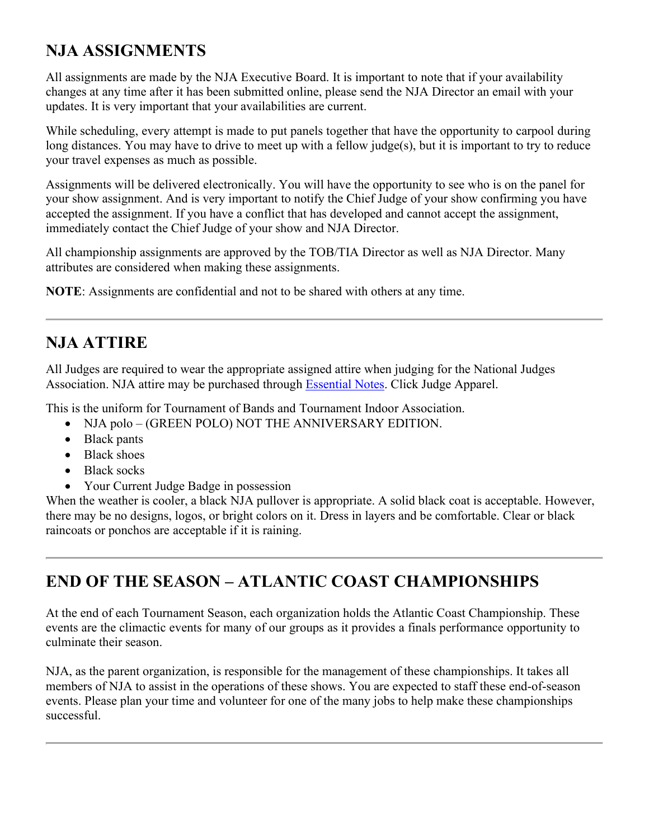# **NJA ASSIGNMENTS**

All assignments are made by the NJA Executive Board. It is important to note that if your availability changes at any time after it has been submitted online, please send the NJA Director an email with your updates. It is very important that your availabilities are current.

While scheduling, every attempt is made to put panels together that have the opportunity to carpool during long distances. You may have to drive to meet up with a fellow judge(s), but it is important to try to reduce your travel expenses as much as possible.

Assignments will be delivered electronically. You will have the opportunity to see who is on the panel for your show assignment. And is very important to notify the Chief Judge of your show confirming you have accepted the assignment. If you have a conflict that has developed and cannot accept the assignment, immediately contact the Chief Judge of your show and NJA Director.

All championship assignments are approved by the TOB/TIA Director as well as NJA Director. Many attributes are considered when making these assignments.

**NOTE**: Assignments are confidential and not to be shared with others at any time.

### **NJA ATTIRE**

All Judges are required to wear the appropriate assigned attire when judging for the National Judges Association. NJA attire may be purchased through [Essential Notes.](http://www.njaeducation.com/) Click Judge Apparel.

This is the uniform for Tournament of Bands and Tournament Indoor Association.

- NJA polo (GREEN POLO) NOT THE ANNIVERSARY EDITION.
- Black pants
- Black shoes
- Black socks
- Your Current Judge Badge in possession

When the weather is cooler, a black NJA pullover is appropriate. A solid black coat is acceptable. However, there may be no designs, logos, or bright colors on it. Dress in layers and be comfortable. Clear or black raincoats or ponchos are acceptable if it is raining.

# **END OF THE SEASON – ATLANTIC COAST CHAMPIONSHIPS**

At the end of each Tournament Season, each organization holds the Atlantic Coast Championship. These events are the climactic events for many of our groups as it provides a finals performance opportunity to culminate their season.

NJA, as the parent organization, is responsible for the management of these championships. It takes all members of NJA to assist in the operations of these shows. You are expected to staff these end-of-season events. Please plan your time and volunteer for one of the many jobs to help make these championships successful.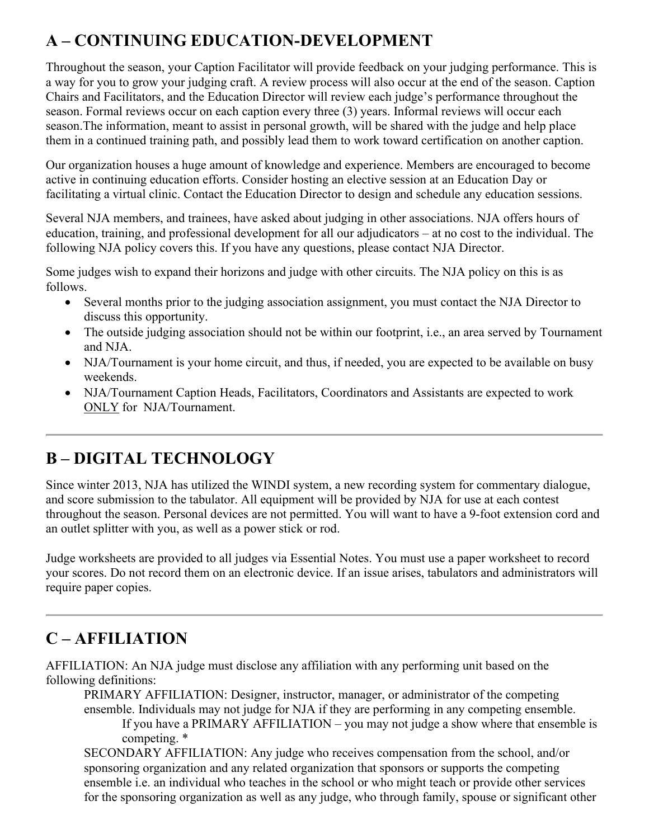# **A – CONTINUING EDUCATION-DEVELOPMENT**

Throughout the season, your Caption Facilitator will provide feedback on your judging performance. This is a way for you to grow your judging craft. A review process will also occur at the end of the season. Caption Chairs and Facilitators, and the Education Director will review each judge's performance throughout the season. Formal reviews occur on each caption every three (3) years. Informal reviews will occur each season.The information, meant to assist in personal growth, will be shared with the judge and help place them in a continued training path, and possibly lead them to work toward certification on another caption.

Our organization houses a huge amount of knowledge and experience. Members are encouraged to become active in continuing education efforts. Consider hosting an elective session at an Education Day or facilitating a virtual clinic. Contact the Education Director to design and schedule any education sessions.

Several NJA members, and trainees, have asked about judging in other associations. NJA offers hours of education, training, and professional development for all our adjudicators – at no cost to the individual. The following NJA policy covers this. If you have any questions, please contact NJA Director.

Some judges wish to expand their horizons and judge with other circuits. The NJA policy on this is as follows.

- Several months prior to the judging association assignment, you must contact the NJA Director to discuss this opportunity.
- The outside judging association should not be within our footprint, i.e., an area served by Tournament and NJA.
- NJA/Tournament is your home circuit, and thus, if needed, you are expected to be available on busy weekends.
- NJA/Tournament Caption Heads, Facilitators, Coordinators and Assistants are expected to work ONLY for NJA/Tournament.

# **B – DIGITAL TECHNOLOGY**

Since winter 2013, NJA has utilized the WINDI system, a new recording system for commentary dialogue, and score submission to the tabulator. All equipment will be provided by NJA for use at each contest throughout the season. Personal devices are not permitted. You will want to have a 9-foot extension cord and an outlet splitter with you, as well as a power stick or rod.

Judge worksheets are provided to all judges via Essential Notes. You must use a paper worksheet to record your scores. Do not record them on an electronic device. If an issue arises, tabulators and administrators will require paper copies.

# **C – AFFILIATION**

AFFILIATION: An NJA judge must disclose any affiliation with any performing unit based on the following definitions:

PRIMARY AFFILIATION: Designer, instructor, manager, or administrator of the competing ensemble. Individuals may not judge for NJA if they are performing in any competing ensemble. If you have a PRIMARY AFFILIATION – you may not judge a show where that ensemble is competing. \*

SECONDARY AFFILIATION: Any judge who receives compensation from the school, and/or sponsoring organization and any related organization that sponsors or supports the competing ensemble i.e. an individual who teaches in the school or who might teach or provide other services for the sponsoring organization as well as any judge, who through family, spouse or significant other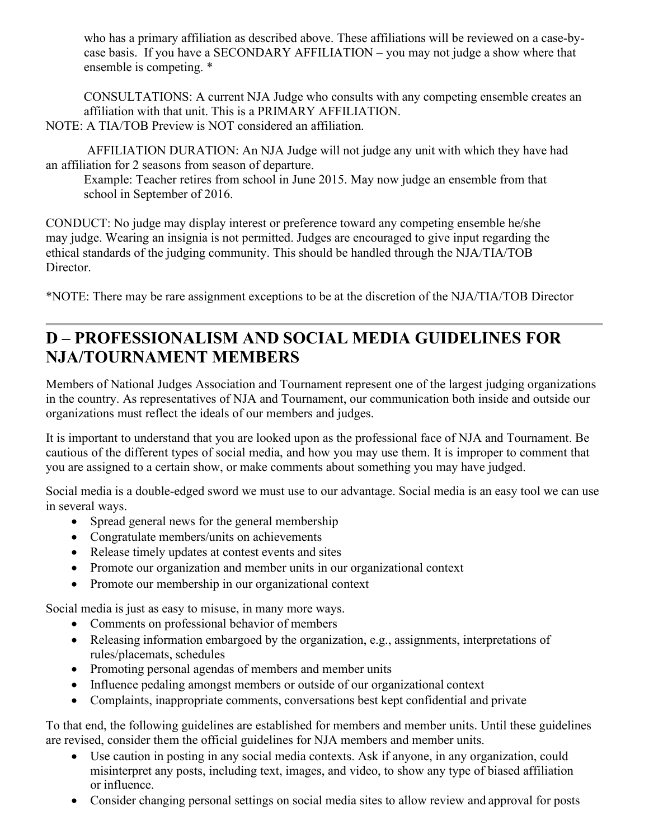who has a primary affiliation as described above. These affiliations will be reviewed on a case-bycase basis. If you have a SECONDARY AFFILIATION – you may not judge a show where that ensemble is competing. \*

CONSULTATIONS: A current NJA Judge who consults with any competing ensemble creates an affiliation with that unit. This is a PRIMARY AFFILIATION. NOTE: A TIA/TOB Preview is NOT considered an affiliation.

 AFFILIATION DURATION: An NJA Judge will not judge any unit with which they have had an affiliation for 2 seasons from season of departure.

Example: Teacher retires from school in June 2015. May now judge an ensemble from that school in September of 2016.

CONDUCT: No judge may display interest or preference toward any competing ensemble he/she may judge. Wearing an insignia is not permitted. Judges are encouraged to give input regarding the ethical standards of the judging community. This should be handled through the NJA/TIA/TOB Director.

\*NOTE: There may be rare assignment exceptions to be at the discretion of the NJA/TIA/TOB Director

### **D – PROFESSIONALISM AND SOCIAL MEDIA GUIDELINES FOR NJA/TOURNAMENT MEMBERS**

Members of National Judges Association and Tournament represent one of the largest judging organizations in the country. As representatives of NJA and Tournament, our communication both inside and outside our organizations must reflect the ideals of our members and judges.

It is important to understand that you are looked upon as the professional face of NJA and Tournament. Be cautious of the different types of social media, and how you may use them. It is improper to comment that you are assigned to a certain show, or make comments about something you may have judged.

Social media is a double-edged sword we must use to our advantage. Social media is an easy tool we can use in several ways.

- Spread general news for the general membership
- Congratulate members/units on achievements
- Release timely updates at contest events and sites
- Promote our organization and member units in our organizational context
- Promote our membership in our organizational context

Social media is just as easy to misuse, in many more ways.

- Comments on professional behavior of members
- Releasing information embargoed by the organization, e.g., assignments, interpretations of rules/placemats, schedules
- Promoting personal agendas of members and member units
- Influence pedaling amongst members or outside of our organizational context
- Complaints, inappropriate comments, conversations best kept confidential and private

To that end, the following guidelines are established for members and member units. Until these guidelines are revised, consider them the official guidelines for NJA members and member units.

- Use caution in posting in any social media contexts. Ask if anyone, in any organization, could misinterpret any posts, including text, images, and video, to show any type of biased affiliation or influence.
- Consider changing personal settings on social media sites to allow review and approval for posts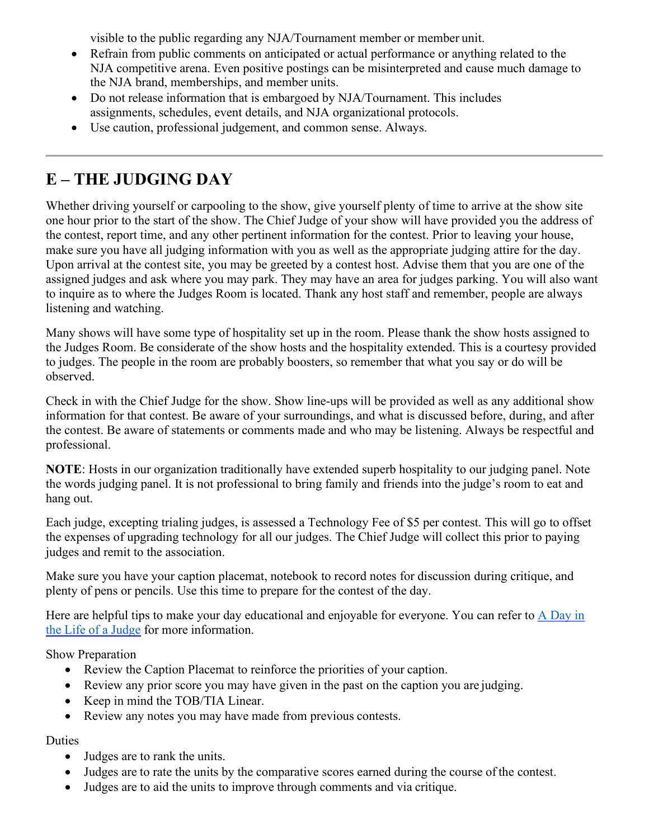visible to the public regarding any NJA/Tournament member or member unit.

- Refrain from public comments on anticipated or actual performance or anything related to the NJA competitive arena. Even positive postings can be misinterpreted and cause much damage to the NJA brand, memberships, and member units.
- Do not release information that is embargoed by NJA/Tournament. This includes assignments, schedules, event details, and NJA organizational protocols.
- Use caution, professional judgement, and common sense. Always.

# **E – THE JUDGING DAY**

Whether driving yourself or carpooling to the show, give yourself plenty of time to arrive at the show site one hour prior to the start of the show. The Chief Judge of your show will have provided you the address of the contest, report time, and any other pertinent information for the contest. Prior to leaving your house, make sure you have all judging information with you as well as the appropriate judging attire for the day. Upon arrival at the contest site, you may be greeted by a contest host. Advise them that you are one of the assigned judges and ask where you may park. They may have an area for judges parking. You will also want to inquire as to where the Judges Room is located. Thank any host staff and remember, people are always listening and watching.

Many shows will have some type of hospitality set up in the room. Please thank the show hosts assigned to the Judges Room. Be considerate of the show hosts and the hospitality extended. This is a courtesy provided to judges. The people in the room are probably boosters, so remember that what you say or do will be observed.

Check in with the Chief Judge for the show. Show line-ups will be provided as well as any additional show information for that contest. Be aware of your surroundings, and what is discussed before, during, and after the contest. Be aware of statements or comments made and who may be listening. Always be respectful and professional.

**NOTE**: Hosts in our organization traditionally have extended superb hospitality to our judging panel. Note the words judging panel. It is not professional to bring family and friends into the judge's room to eat and hang out.

Each judge, excepting trialing judges, is assessed a Technology Fee of \$5 per contest. This will go to offset the expenses of upgrading technology for all our judges. The Chief Judge will collect this prior to paying judges and remit to the association.

Make sure you have your caption placemat, notebook to record notes for discussion during critique, and plenty of pens or pencils. Use this time to prepare for the contest of the day.

Here are helpful tips to make your day educational and enjoyable for everyone. You can refer to  $\overline{A}$  Day in [the Life](#page-8-0) of a Judge for more information.

Show Preparation

- Review the Caption Placemat to reinforce the priorities of your caption.
- Review any prior score you may have given in the past on the caption you are judging.
- Keep in mind the TOB/TIA Linear.
- Review any notes you may have made from previous contests.

### Duties

- Judges are to rank the units.
- Judges are to rate the units by the comparative scores earned during the course of the contest.
- Judges are to aid the units to improve through comments and via critique.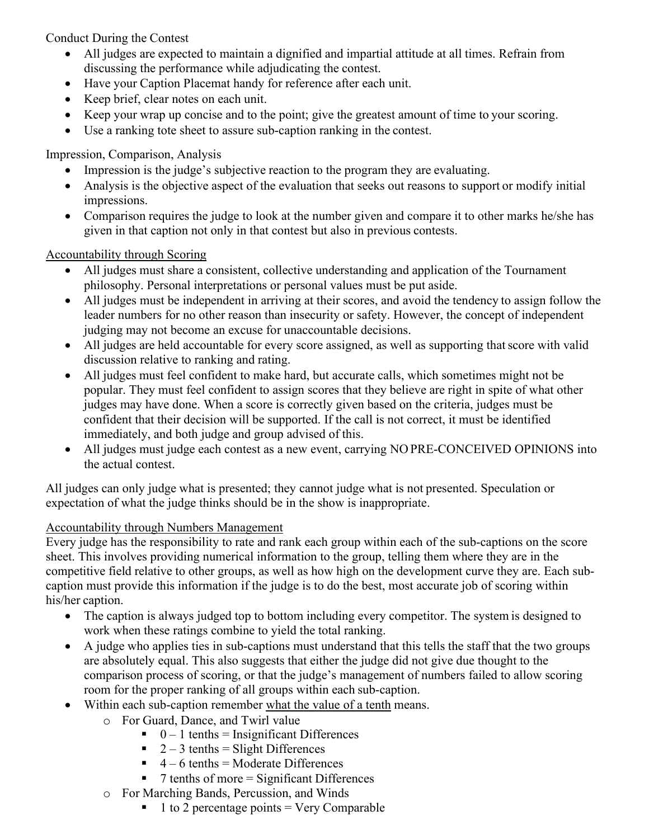Conduct During the Contest

- All judges are expected to maintain a dignified and impartial attitude at all times. Refrain from discussing the performance while adjudicating the contest.
- Have your Caption Placemat handy for reference after each unit.
- Keep brief, clear notes on each unit.
- Keep your wrap up concise and to the point; give the greatest amount of time to your scoring.
- Use a ranking tote sheet to assure sub-caption ranking in the contest.

Impression, Comparison, Analysis

- Impression is the judge's subjective reaction to the program they are evaluating.
- Analysis is the objective aspect of the evaluation that seeks out reasons to support or modify initial impressions.
- Comparison requires the judge to look at the number given and compare it to other marks he/she has given in that caption not only in that contest but also in previous contests.

### Accountability through Scoring

- All judges must share a consistent, collective understanding and application of the Tournament philosophy. Personal interpretations or personal values must be put aside.
- All judges must be independent in arriving at their scores, and avoid the tendency to assign follow the leader numbers for no other reason than insecurity or safety. However, the concept of independent judging may not become an excuse for unaccountable decisions.
- All judges are held accountable for every score assigned, as well as supporting that score with valid discussion relative to ranking and rating.
- All judges must feel confident to make hard, but accurate calls, which sometimes might not be popular. They must feel confident to assign scores that they believe are right in spite of what other judges may have done. When a score is correctly given based on the criteria, judges must be confident that their decision will be supported. If the call is not correct, it must be identified immediately, and both judge and group advised of this.
- All judges must judge each contest as a new event, carrying NO PRE-CONCEIVED OPINIONS into the actual contest.

All judges can only judge what is presented; they cannot judge what is not presented. Speculation or expectation of what the judge thinks should be in the show is inappropriate.

### Accountability through Numbers Management

Every judge has the responsibility to rate and rank each group within each of the sub-captions on the score sheet. This involves providing numerical information to the group, telling them where they are in the competitive field relative to other groups, as well as how high on the development curve they are. Each subcaption must provide this information if the judge is to do the best, most accurate job of scoring within his/her caption.

- The caption is always judged top to bottom including every competitor. The system is designed to work when these ratings combine to yield the total ranking.
- A judge who applies ties in sub-captions must understand that this tells the staff that the two groups are absolutely equal. This also suggests that either the judge did not give due thought to the comparison process of scoring, or that the judge's management of numbers failed to allow scoring room for the proper ranking of all groups within each sub-caption.
- Within each sub-caption remember what the value of a tenth means.
	- o For Guard, Dance, and Twirl value
		- $\bullet$  0 1 tenths = Insignificant Differences
		- $\blacksquare$  2 3 tenths = Slight Differences
		- $\blacksquare$  4 6 tenths = Moderate Differences
		- $\blacksquare$  7 tenths of more = Significant Differences
	- o For Marching Bands, Percussion, and Winds
		- $\blacksquare$  1 to 2 percentage points = Very Comparable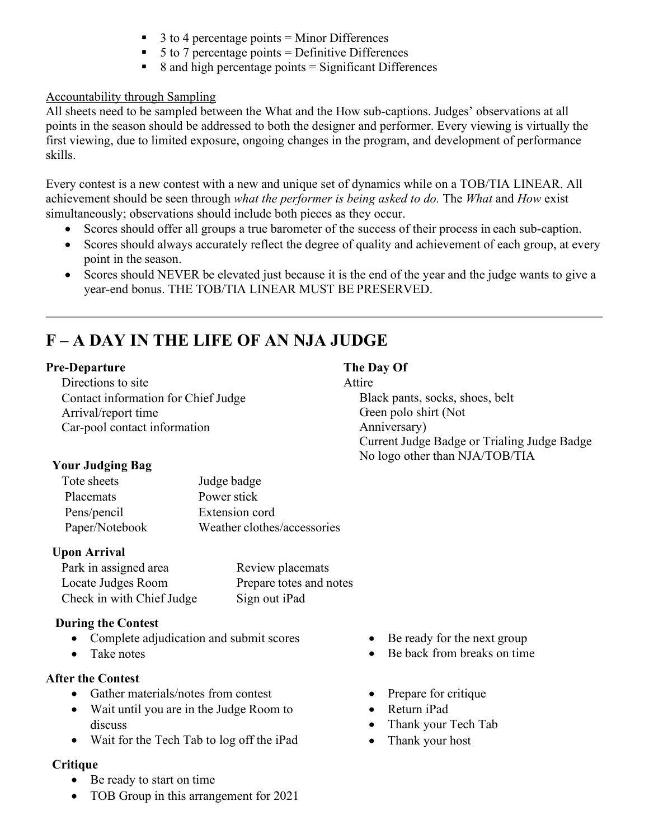- 3 to 4 percentage points = Minor Differences
- $\blacksquare$  5 to 7 percentage points = Definitive Differences
- $\blacksquare$  8 and high percentage points  $=$  Significant Differences

### Accountability through Sampling

All sheets need to be sampled between the What and the How sub-captions. Judges' observations at all points in the season should be addressed to both the designer and performer. Every viewing is virtually the first viewing, due to limited exposure, ongoing changes in the program, and development of performance skills.

Every contest is a new contest with a new and unique set of dynamics while on a TOB/TIA LINEAR. All achievement should be seen through *what the performer is being asked to do.* The *What* and *How* exist simultaneously; observations should include both pieces as they occur.

- Scores should offer all groups a true barometer of the success of their process in each sub-caption.
- Scores should always accurately reflect the degree of quality and achievement of each group, at every point in the season.
- Scores should NEVER be elevated just because it is the end of the year and the judge wants to give a year-end bonus. THE TOB/TIA LINEAR MUST BE PRESERVED.

# **F – A DAY IN THE LIFE OF AN NJA JUDGE**

#### **Pre-Departure**

Directions to site Contact information for Chief Judge Arrival/report time Car-pool contact information

### **Your Judging Bag**

| Tote sheets    | Judge badge                 |
|----------------|-----------------------------|
| Placemats      | Power stick                 |
| Pens/pencil    | Extension cord              |
| Paper/Notebook | Weather clothes/accessories |

### **Upon Arrival**

| Park in assigned area     | Review placemats        |
|---------------------------|-------------------------|
| Locate Judges Room        | Prepare totes and notes |
| Check in with Chief Judge | Sign out iPad           |

### **During the Contest**

- Complete adjudication and submit scores
- Take notes

### **After the Contest**

- Gather materials/notes from contest
- Wait until you are in the Judge Room to discuss
- Wait for the Tech Tab to log off the iPad

### **Critique**

- Be ready to start on time
- TOB Group in this arrangement for 2021

### **The Day Of**

#### Attire

Black pants, socks, shoes, belt Green polo shirt (Not Anniversary) Current Judge Badge or Trialing Judge Badge No logo other than NJA/TOB/TIA

- Be ready for the next group
- Be back from breaks on time
- Prepare for critique
- Return iPad
- Thank your Tech Tab
- Thank your host